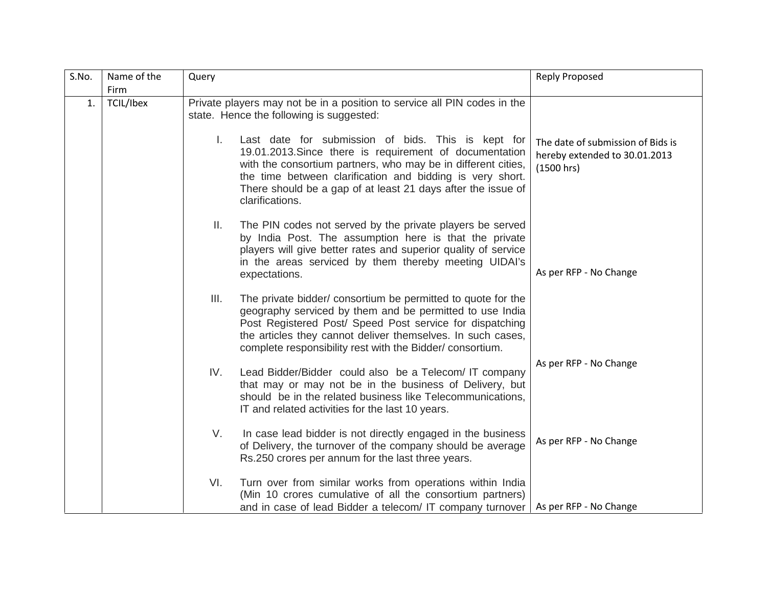| S.No. | Name of the       | Query                                                                                                                                                                                                                                                                                                                                | <b>Reply Proposed</b>                                                            |
|-------|-------------------|--------------------------------------------------------------------------------------------------------------------------------------------------------------------------------------------------------------------------------------------------------------------------------------------------------------------------------------|----------------------------------------------------------------------------------|
| 1.    | Firm<br>TCIL/Ibex | Private players may not be in a position to service all PIN codes in the<br>state. Hence the following is suggested:                                                                                                                                                                                                                 |                                                                                  |
|       |                   | Τ.<br>Last date for submission of bids. This is kept for<br>19.01.2013. Since there is requirement of documentation<br>with the consortium partners, who may be in different cities,<br>the time between clarification and bidding is very short.<br>There should be a gap of at least 21 days after the issue of<br>clarifications. | The date of submission of Bids is<br>hereby extended to 30.01.2013<br>(1500 hrs) |
|       |                   | The PIN codes not served by the private players be served<br>Ш.<br>by India Post. The assumption here is that the private<br>players will give better rates and superior quality of service<br>in the areas serviced by them thereby meeting UIDAI's<br>expectations.                                                                | As per RFP - No Change                                                           |
|       |                   | III.<br>The private bidder/ consortium be permitted to quote for the<br>geography serviced by them and be permitted to use India<br>Post Registered Post/ Speed Post service for dispatching<br>the articles they cannot deliver themselves. In such cases,<br>complete responsibility rest with the Bidder/consortium.              |                                                                                  |
|       |                   | IV.<br>Lead Bidder/Bidder could also be a Telecom/IT company<br>that may or may not be in the business of Delivery, but<br>should be in the related business like Telecommunications,<br>IT and related activities for the last 10 years.                                                                                            | As per RFP - No Change                                                           |
|       |                   | V.<br>In case lead bidder is not directly engaged in the business<br>of Delivery, the turnover of the company should be average<br>Rs.250 crores per annum for the last three years.                                                                                                                                                 | As per RFP - No Change                                                           |
|       |                   | VI.<br>Turn over from similar works from operations within India<br>(Min 10 crores cumulative of all the consortium partners)<br>and in case of lead Bidder a telecom/ IT company turnover                                                                                                                                           | As per RFP - No Change                                                           |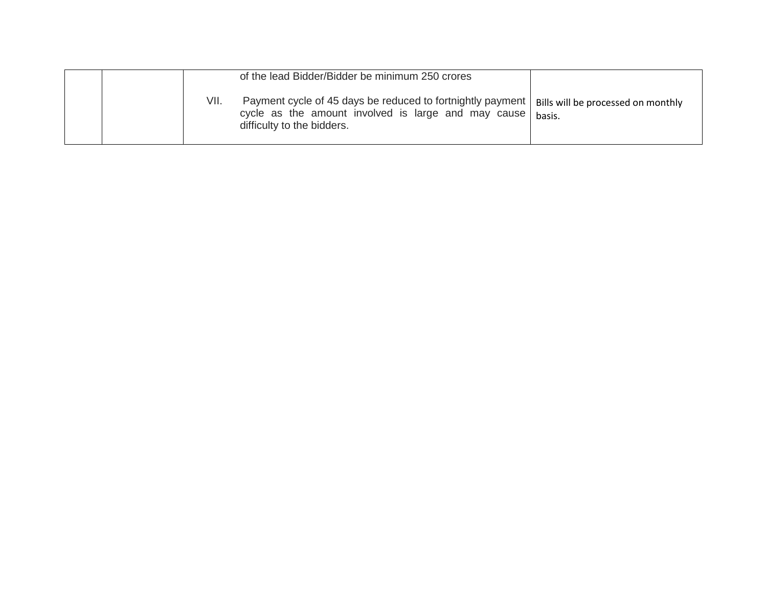|      | of the lead Bidder/Bidder be minimum 250 crores                                                                                                 |                                              |
|------|-------------------------------------------------------------------------------------------------------------------------------------------------|----------------------------------------------|
| VII. | Payment cycle of 45 days be reduced to fortnightly payment<br>cycle as the amount involved is large and may cause<br>difficulty to the bidders. | Bills will be processed on monthly<br>basis. |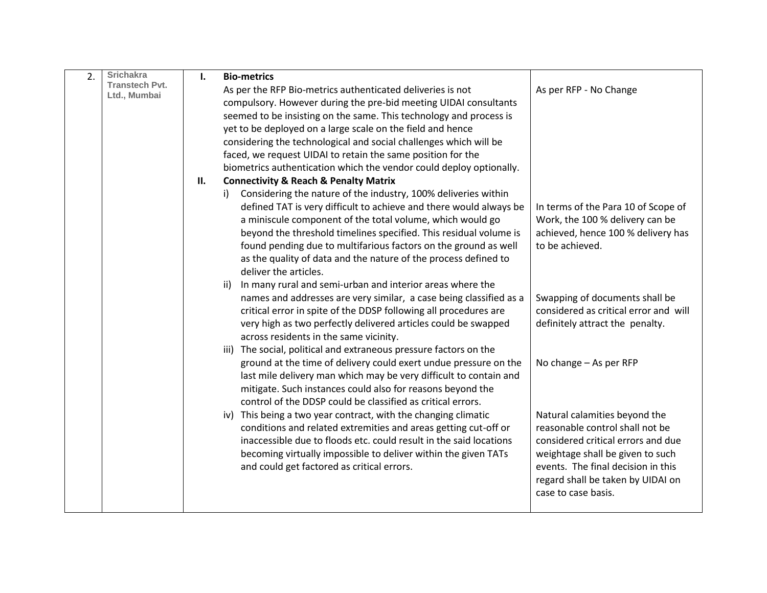| 2. | <b>Srichakra</b>                      | Ι. | <b>Bio-metrics</b>                                                                                                                                                                                                                                                                                                                                                                                                                                                            |                                                                                                                                                                                                                                              |
|----|---------------------------------------|----|-------------------------------------------------------------------------------------------------------------------------------------------------------------------------------------------------------------------------------------------------------------------------------------------------------------------------------------------------------------------------------------------------------------------------------------------------------------------------------|----------------------------------------------------------------------------------------------------------------------------------------------------------------------------------------------------------------------------------------------|
|    | <b>Transtech Pvt.</b><br>Ltd., Mumbai |    | As per the RFP Bio-metrics authenticated deliveries is not<br>compulsory. However during the pre-bid meeting UIDAI consultants<br>seemed to be insisting on the same. This technology and process is<br>yet to be deployed on a large scale on the field and hence<br>considering the technological and social challenges which will be<br>faced, we request UIDAI to retain the same position for the<br>biometrics authentication which the vendor could deploy optionally. | As per RFP - No Change                                                                                                                                                                                                                       |
|    |                                       | П. | <b>Connectivity &amp; Reach &amp; Penalty Matrix</b>                                                                                                                                                                                                                                                                                                                                                                                                                          |                                                                                                                                                                                                                                              |
|    |                                       |    | Considering the nature of the industry, 100% deliveries within<br>i).<br>defined TAT is very difficult to achieve and there would always be<br>a miniscule component of the total volume, which would go<br>beyond the threshold timelines specified. This residual volume is<br>found pending due to multifarious factors on the ground as well<br>as the quality of data and the nature of the process defined to<br>deliver the articles.                                  | In terms of the Para 10 of Scope of<br>Work, the 100 % delivery can be<br>achieved, hence 100 % delivery has<br>to be achieved.                                                                                                              |
|    |                                       |    | In many rural and semi-urban and interior areas where the<br>ii)<br>names and addresses are very similar, a case being classified as a<br>critical error in spite of the DDSP following all procedures are<br>very high as two perfectly delivered articles could be swapped<br>across residents in the same vicinity.<br>iii) The social, political and extraneous pressure factors on the                                                                                   | Swapping of documents shall be<br>considered as critical error and will<br>definitely attract the penalty.                                                                                                                                   |
|    |                                       |    | ground at the time of delivery could exert undue pressure on the<br>last mile delivery man which may be very difficult to contain and<br>mitigate. Such instances could also for reasons beyond the<br>control of the DDSP could be classified as critical errors.                                                                                                                                                                                                            | No change - As per RFP                                                                                                                                                                                                                       |
|    |                                       |    | iv) This being a two year contract, with the changing climatic<br>conditions and related extremities and areas getting cut-off or<br>inaccessible due to floods etc. could result in the said locations<br>becoming virtually impossible to deliver within the given TATs<br>and could get factored as critical errors.                                                                                                                                                       | Natural calamities beyond the<br>reasonable control shall not be<br>considered critical errors and due<br>weightage shall be given to such<br>events. The final decision in this<br>regard shall be taken by UIDAI on<br>case to case basis. |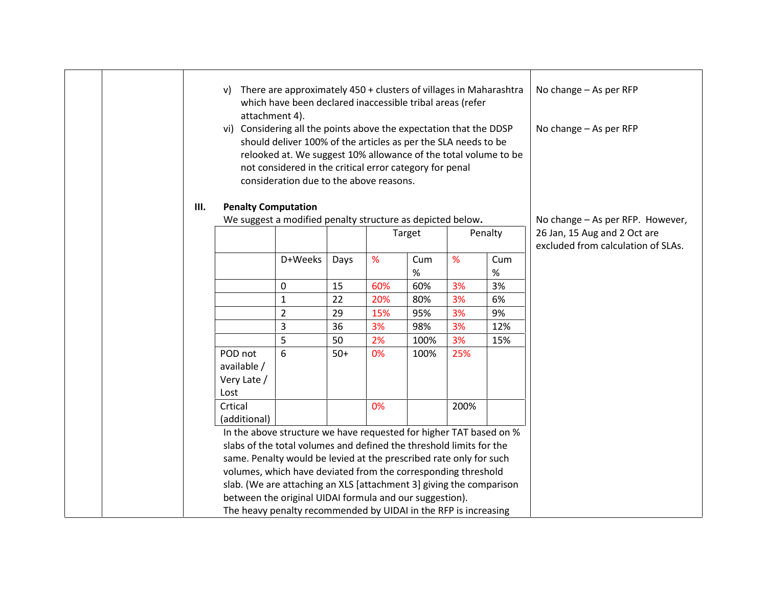| V)                                            |                |                                              |     |             |                                                   |                                                                                                                    | No change - As per RFP<br>No change - As per RFP                                                                                                                                                                                                                                                                                                                                                                                                                                                                                                                                                                                                                                                                                                                                                                                                 |
|-----------------------------------------------|----------------|----------------------------------------------|-----|-------------|---------------------------------------------------|--------------------------------------------------------------------------------------------------------------------|--------------------------------------------------------------------------------------------------------------------------------------------------------------------------------------------------------------------------------------------------------------------------------------------------------------------------------------------------------------------------------------------------------------------------------------------------------------------------------------------------------------------------------------------------------------------------------------------------------------------------------------------------------------------------------------------------------------------------------------------------------------------------------------------------------------------------------------------------|
|                                               |                |                                              |     |             |                                                   |                                                                                                                    | No change - As per RFP. However,                                                                                                                                                                                                                                                                                                                                                                                                                                                                                                                                                                                                                                                                                                                                                                                                                 |
|                                               |                |                                              |     |             |                                                   |                                                                                                                    | 26 Jan, 15 Aug and 2 Oct are<br>excluded from calculation of SLAs.                                                                                                                                                                                                                                                                                                                                                                                                                                                                                                                                                                                                                                                                                                                                                                               |
|                                               | D+Weeks        | Days                                         | %   | Cum<br>$\%$ | %                                                 | Cum<br>$\%$                                                                                                        |                                                                                                                                                                                                                                                                                                                                                                                                                                                                                                                                                                                                                                                                                                                                                                                                                                                  |
|                                               | 0              | 15                                           | 60% | 60%         | 3%                                                | 3%                                                                                                                 |                                                                                                                                                                                                                                                                                                                                                                                                                                                                                                                                                                                                                                                                                                                                                                                                                                                  |
|                                               | $\mathbf{1}$   | 22                                           | 20% | 80%         | 3%                                                | 6%                                                                                                                 |                                                                                                                                                                                                                                                                                                                                                                                                                                                                                                                                                                                                                                                                                                                                                                                                                                                  |
|                                               | $\overline{2}$ | 29                                           | 15% | 95%         | 3%                                                | 9%                                                                                                                 |                                                                                                                                                                                                                                                                                                                                                                                                                                                                                                                                                                                                                                                                                                                                                                                                                                                  |
|                                               | 3              | 36                                           | 3%  | 98%         | 3%                                                | 12%                                                                                                                |                                                                                                                                                                                                                                                                                                                                                                                                                                                                                                                                                                                                                                                                                                                                                                                                                                                  |
|                                               | 5              | 50                                           | 2%  | 100%        | 3%                                                | 15%                                                                                                                |                                                                                                                                                                                                                                                                                                                                                                                                                                                                                                                                                                                                                                                                                                                                                                                                                                                  |
| POD not<br>available /<br>Very Late /<br>Lost | 6              | $50+$                                        | 0%  | 100%        | 25%                                               |                                                                                                                    |                                                                                                                                                                                                                                                                                                                                                                                                                                                                                                                                                                                                                                                                                                                                                                                                                                                  |
| Crtical                                       |                |                                              | 0%  |             | 200%                                              |                                                                                                                    |                                                                                                                                                                                                                                                                                                                                                                                                                                                                                                                                                                                                                                                                                                                                                                                                                                                  |
|                                               |                |                                              |     |             |                                                   |                                                                                                                    |                                                                                                                                                                                                                                                                                                                                                                                                                                                                                                                                                                                                                                                                                                                                                                                                                                                  |
|                                               |                |                                              |     |             |                                                   |                                                                                                                    |                                                                                                                                                                                                                                                                                                                                                                                                                                                                                                                                                                                                                                                                                                                                                                                                                                                  |
|                                               |                |                                              |     |             |                                                   |                                                                                                                    |                                                                                                                                                                                                                                                                                                                                                                                                                                                                                                                                                                                                                                                                                                                                                                                                                                                  |
|                                               |                |                                              |     |             |                                                   |                                                                                                                    |                                                                                                                                                                                                                                                                                                                                                                                                                                                                                                                                                                                                                                                                                                                                                                                                                                                  |
|                                               |                |                                              |     |             |                                                   |                                                                                                                    |                                                                                                                                                                                                                                                                                                                                                                                                                                                                                                                                                                                                                                                                                                                                                                                                                                                  |
|                                               |                |                                              |     |             |                                                   |                                                                                                                    |                                                                                                                                                                                                                                                                                                                                                                                                                                                                                                                                                                                                                                                                                                                                                                                                                                                  |
|                                               |                |                                              |     |             |                                                   |                                                                                                                    |                                                                                                                                                                                                                                                                                                                                                                                                                                                                                                                                                                                                                                                                                                                                                                                                                                                  |
|                                               | (additional)   | attachment 4).<br><b>Penalty Computation</b> |     |             | consideration due to the above reasons.<br>Target | not considered in the critical error category for penal<br>between the original UIDAI formula and our suggestion). | There are approximately 450 + clusters of villages in Maharashtra<br>which have been declared inaccessible tribal areas (refer<br>vi) Considering all the points above the expectation that the DDSP<br>should deliver 100% of the articles as per the SLA needs to be<br>relooked at. We suggest 10% allowance of the total volume to be<br>We suggest a modified penalty structure as depicted below.<br>Penalty<br>In the above structure we have requested for higher TAT based on %<br>slabs of the total volumes and defined the threshold limits for the<br>same. Penalty would be levied at the prescribed rate only for such<br>volumes, which have deviated from the corresponding threshold<br>slab. (We are attaching an XLS [attachment 3] giving the comparison<br>The heavy penalty recommended by UIDAI in the RFP is increasing |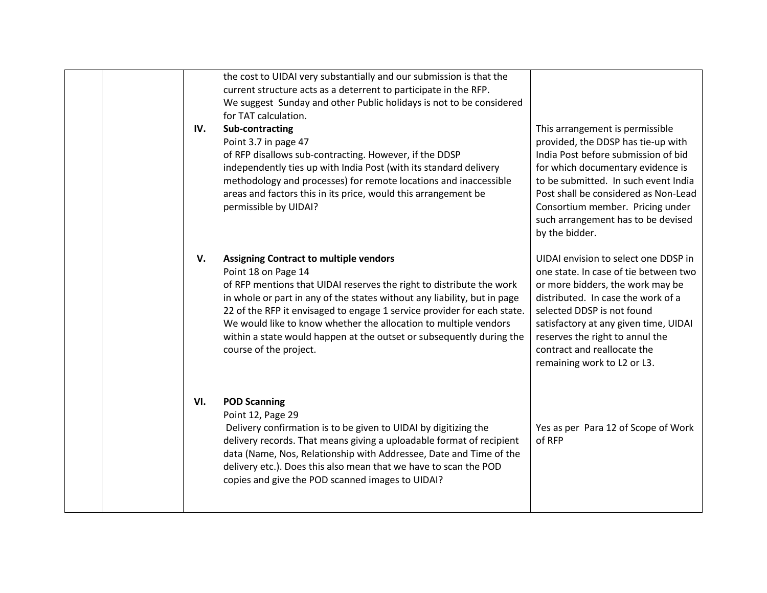| IV. | the cost to UIDAI very substantially and our submission is that the<br>current structure acts as a deterrent to participate in the RFP.<br>We suggest Sunday and other Public holidays is not to be considered<br>for TAT calculation.<br>Sub-contracting<br>Point 3.7 in page 47<br>of RFP disallows sub-contracting. However, if the DDSP<br>independently ties up with India Post (with its standard delivery<br>methodology and processes) for remote locations and inaccessible<br>areas and factors this in its price, would this arrangement be<br>permissible by UIDAI? | This arrangement is permissible<br>provided, the DDSP has tie-up with<br>India Post before submission of bid<br>for which documentary evidence is<br>to be submitted. In such event India<br>Post shall be considered as Non-Lead<br>Consortium member. Pricing under<br>such arrangement has to be devised<br>by the bidder.   |
|-----|---------------------------------------------------------------------------------------------------------------------------------------------------------------------------------------------------------------------------------------------------------------------------------------------------------------------------------------------------------------------------------------------------------------------------------------------------------------------------------------------------------------------------------------------------------------------------------|---------------------------------------------------------------------------------------------------------------------------------------------------------------------------------------------------------------------------------------------------------------------------------------------------------------------------------|
| V.  | <b>Assigning Contract to multiple vendors</b><br>Point 18 on Page 14<br>of RFP mentions that UIDAI reserves the right to distribute the work<br>in whole or part in any of the states without any liability, but in page<br>22 of the RFP it envisaged to engage 1 service provider for each state.<br>We would like to know whether the allocation to multiple vendors<br>within a state would happen at the outset or subsequently during the<br>course of the project.                                                                                                       | UIDAI envision to select one DDSP in<br>one state. In case of tie between two<br>or more bidders, the work may be<br>distributed. In case the work of a<br>selected DDSP is not found<br>satisfactory at any given time, UIDAI<br>reserves the right to annul the<br>contract and reallocate the<br>remaining work to L2 or L3. |
| VI. | <b>POD Scanning</b><br>Point 12, Page 29<br>Delivery confirmation is to be given to UIDAI by digitizing the<br>delivery records. That means giving a uploadable format of recipient<br>data (Name, Nos, Relationship with Addressee, Date and Time of the<br>delivery etc.). Does this also mean that we have to scan the POD<br>copies and give the POD scanned images to UIDAI?                                                                                                                                                                                               | Yes as per Para 12 of Scope of Work<br>of RFP                                                                                                                                                                                                                                                                                   |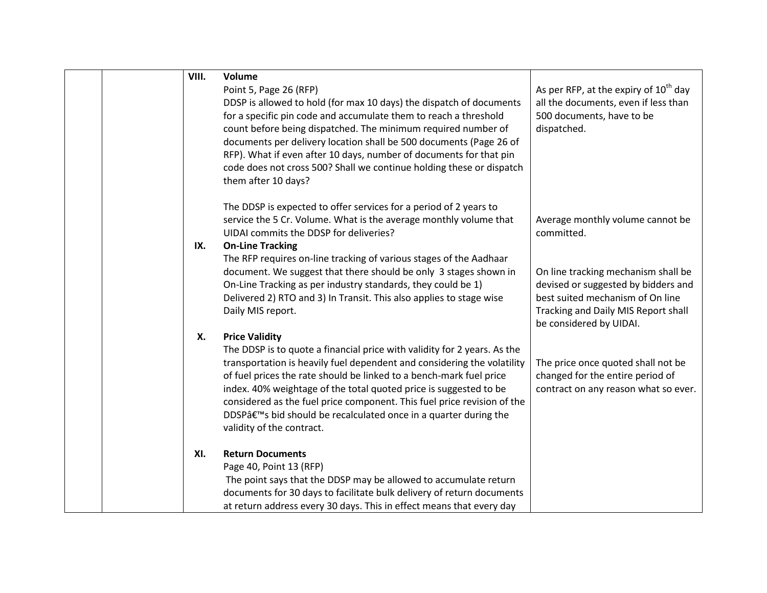| VIII. | Volume                                                                                        |                                                                                 |
|-------|-----------------------------------------------------------------------------------------------|---------------------------------------------------------------------------------|
|       | Point 5, Page 26 (RFP)<br>DDSP is allowed to hold (for max 10 days) the dispatch of documents | As per RFP, at the expiry of $10th$ day<br>all the documents, even if less than |
|       | for a specific pin code and accumulate them to reach a threshold                              | 500 documents, have to be                                                       |
|       | count before being dispatched. The minimum required number of                                 | dispatched.                                                                     |
|       | documents per delivery location shall be 500 documents (Page 26 of                            |                                                                                 |
|       | RFP). What if even after 10 days, number of documents for that pin                            |                                                                                 |
|       | code does not cross 500? Shall we continue holding these or dispatch                          |                                                                                 |
|       | them after 10 days?                                                                           |                                                                                 |
|       | The DDSP is expected to offer services for a period of 2 years to                             |                                                                                 |
|       | service the 5 Cr. Volume. What is the average monthly volume that                             | Average monthly volume cannot be                                                |
|       | UIDAI commits the DDSP for deliveries?                                                        | committed.                                                                      |
| IX.   | <b>On-Line Tracking</b>                                                                       |                                                                                 |
|       | The RFP requires on-line tracking of various stages of the Aadhaar                            |                                                                                 |
|       | document. We suggest that there should be only 3 stages shown in                              | On line tracking mechanism shall be                                             |
|       | On-Line Tracking as per industry standards, they could be 1)                                  | devised or suggested by bidders and                                             |
|       | Delivered 2) RTO and 3) In Transit. This also applies to stage wise                           | best suited mechanism of On line                                                |
|       | Daily MIS report.                                                                             | Tracking and Daily MIS Report shall                                             |
|       |                                                                                               | be considered by UIDAI.                                                         |
| Х.    | <b>Price Validity</b>                                                                         |                                                                                 |
|       | The DDSP is to quote a financial price with validity for 2 years. As the                      |                                                                                 |
|       | transportation is heavily fuel dependent and considering the volatility                       | The price once quoted shall not be                                              |
|       | of fuel prices the rate should be linked to a bench-mark fuel price                           | changed for the entire period of                                                |
|       | index. 40% weightage of the total quoted price is suggested to be                             | contract on any reason what so ever.                                            |
|       | considered as the fuel price component. This fuel price revision of the                       |                                                                                 |
|       | DDSP's bid should be recalculated once in a quarter during the<br>validity of the contract.   |                                                                                 |
|       |                                                                                               |                                                                                 |
| XI.   | <b>Return Documents</b>                                                                       |                                                                                 |
|       | Page 40, Point 13 (RFP)                                                                       |                                                                                 |
|       | The point says that the DDSP may be allowed to accumulate return                              |                                                                                 |
|       | documents for 30 days to facilitate bulk delivery of return documents                         |                                                                                 |
|       | at return address every 30 days. This in effect means that every day                          |                                                                                 |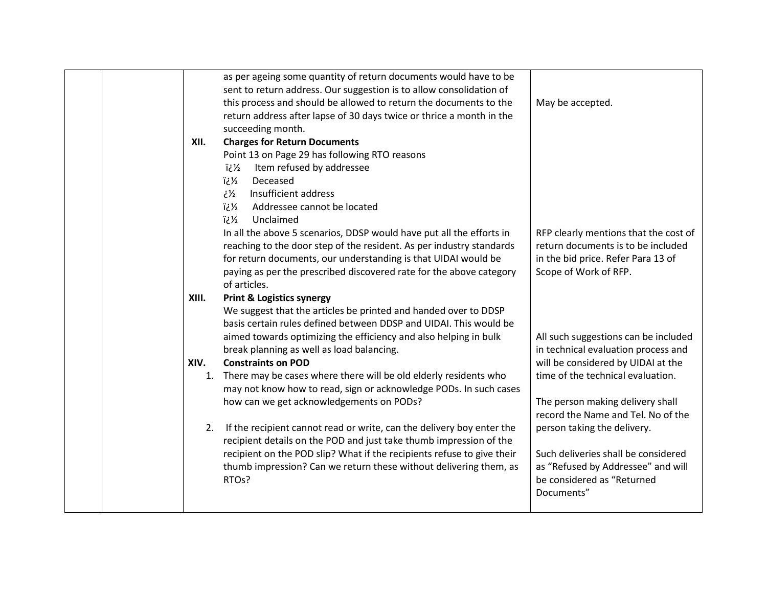|       | as per ageing some quantity of return documents would have to be       |                                          |
|-------|------------------------------------------------------------------------|------------------------------------------|
|       | sent to return address. Our suggestion is to allow consolidation of    |                                          |
|       | this process and should be allowed to return the documents to the      | May be accepted.                         |
|       | return address after lapse of 30 days twice or thrice a month in the   |                                          |
|       | succeeding month.                                                      |                                          |
| XII.  | <b>Charges for Return Documents</b>                                    |                                          |
|       | Point 13 on Page 29 has following RTO reasons                          |                                          |
|       | Item refused by addressee<br>لأني أ                                    |                                          |
|       | Deceased<br>ة 2⁄2.                                                     |                                          |
|       | Insufficient address<br>51ع                                            |                                          |
|       | ة /i<br>Addressee cannot be located                                    |                                          |
|       | Unclaimed<br>ة 2⁄2.                                                    |                                          |
|       | In all the above 5 scenarios, DDSP would have put all the efforts in   | RFP clearly mentions that the cost of    |
|       | reaching to the door step of the resident. As per industry standards   | return documents is to be included       |
|       | for return documents, our understanding is that UIDAI would be         | in the bid price. Refer Para 13 of       |
|       | paying as per the prescribed discovered rate for the above category    | Scope of Work of RFP.                    |
|       | of articles.                                                           |                                          |
| XIII. | <b>Print &amp; Logistics synergy</b>                                   |                                          |
|       | We suggest that the articles be printed and handed over to DDSP        |                                          |
|       | basis certain rules defined between DDSP and UIDAI. This would be      |                                          |
|       | aimed towards optimizing the efficiency and also helping in bulk       | All such suggestions can be included     |
|       | break planning as well as load balancing.                              | in technical evaluation process and      |
| XIV.  | <b>Constraints on POD</b>                                              | will be considered by UIDAI at the       |
|       | 1. There may be cases where there will be old elderly residents who    | time of the technical evaluation.        |
|       | may not know how to read, sign or acknowledge PODs. In such cases      |                                          |
|       | how can we get acknowledgements on PODs?                               | The person making delivery shall         |
|       |                                                                        | record the Name and Tel. No of the       |
| 2.    | If the recipient cannot read or write, can the delivery boy enter the  | person taking the delivery.              |
|       | recipient details on the POD and just take thumb impression of the     |                                          |
|       | recipient on the POD slip? What if the recipients refuse to give their | Such deliveries shall be considered      |
|       | thumb impression? Can we return these without delivering them, as      | as "Refused by Addressee" and will       |
|       |                                                                        |                                          |
|       | RTO <sub>s</sub> ?                                                     | be considered as "Returned<br>Documents" |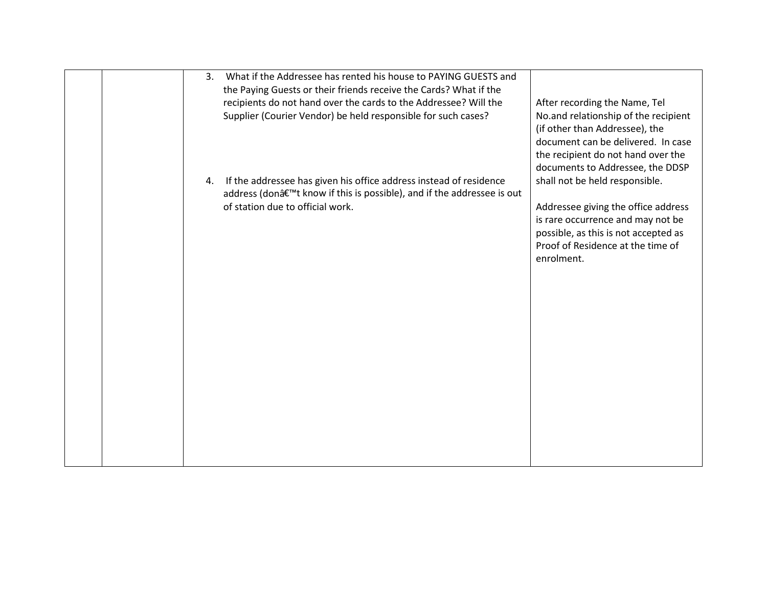| What if the Addressee has rented his house to PAYING GUESTS and<br>3.<br>the Paying Guests or their friends receive the Cards? What if the<br>recipients do not hand over the cards to the Addressee? Will the<br>After recording the Name, Tel<br>Supplier (Courier Vendor) be held responsible for such cases?<br>No.and relationship of the recipient<br>(if other than Addressee), the<br>document can be delivered. In case<br>the recipient do not hand over the<br>documents to Addressee, the DDSP<br>If the addressee has given his office address instead of residence<br>shall not be held responsible.<br>4.<br>address (don't know if this is possible), and if the addressee is out<br>of station due to official work.<br>Addressee giving the office address<br>is rare occurrence and may not be<br>possible, as this is not accepted as<br>Proof of Residence at the time of<br>enrolment. |  |  |
|--------------------------------------------------------------------------------------------------------------------------------------------------------------------------------------------------------------------------------------------------------------------------------------------------------------------------------------------------------------------------------------------------------------------------------------------------------------------------------------------------------------------------------------------------------------------------------------------------------------------------------------------------------------------------------------------------------------------------------------------------------------------------------------------------------------------------------------------------------------------------------------------------------------|--|--|
|                                                                                                                                                                                                                                                                                                                                                                                                                                                                                                                                                                                                                                                                                                                                                                                                                                                                                                              |  |  |
|                                                                                                                                                                                                                                                                                                                                                                                                                                                                                                                                                                                                                                                                                                                                                                                                                                                                                                              |  |  |
|                                                                                                                                                                                                                                                                                                                                                                                                                                                                                                                                                                                                                                                                                                                                                                                                                                                                                                              |  |  |
|                                                                                                                                                                                                                                                                                                                                                                                                                                                                                                                                                                                                                                                                                                                                                                                                                                                                                                              |  |  |